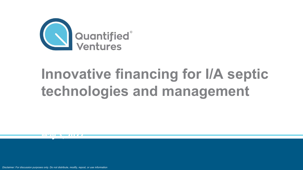

# **Innovative financing for I/A septic technologies and management**

*Disclaimer: For discussion purposes only. Do not distribute, modify, repost, or use information* 

**May 3, 2022**<br><u>May 3, 2022</u><br>Albert 2, 2022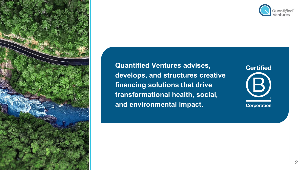





**Certified** (B) **Corporation**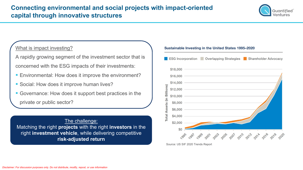

### What is impact investing?

A rapidly growing segment of the investment sector that is concerned with the ESG impacts of their investments:

- Environmental: How does it improve the environment?
- Social: How does it improve human lives?
- Governance: How does it support best practices in the

private or public sector?

The challenge: Matching the right **projects** with the right **investors** in the right **investment vehicle**, while delivering competitive **risk-adjusted return** 

Sustainable Investing in the United States 1995-2020



Source: US SIF 2020 Trends Report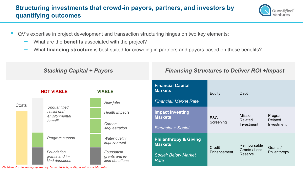## **Structuring investments that crowd-in payors, partners, and investors by quantifying outcomes**



- QV's expertise in project development and transaction structuring hinges on two key elements:
	- What are the **benefits** associated with the project?
	- What **financing structure** is best suited for crowding in partners and payors based on those benefits?

| <b>Stacking Capital + Payors</b> |                                                        |                                                | <b>Financing Structures to Deliver ROI +Impact</b> |                         |                                          |                                   |
|----------------------------------|--------------------------------------------------------|------------------------------------------------|----------------------------------------------------|-------------------------|------------------------------------------|-----------------------------------|
|                                  | <b>NOT VIABLE</b>                                      | <b>VIABLE</b>                                  | <b>Financial Capital</b><br><b>Markets</b>         | Equity                  | <b>Debt</b>                              |                                   |
| Costs                            | Unquantified<br>social and<br>environmental<br>benefit | New jobs                                       | <b>Financial: Market Rate</b>                      |                         |                                          |                                   |
|                                  |                                                        | <b>Health Impacts</b>                          | <b>Impact Investing</b><br><b>Markets</b>          | <b>ESG</b><br>Screening | Mission-<br>Related<br>Investment        | Program-<br>Related<br>Investment |
|                                  |                                                        | Carbon<br>sequestration                        | <b>Financial + Social</b>                          |                         |                                          |                                   |
|                                  | Program support                                        | <b>Water quality</b><br>improvement            | <b>Philanthropy &amp; Giving</b><br><b>Markets</b> | Credit<br>Enhancement   | Reimbursable<br>Grants / Loss<br>Reserve | Grants /<br>Philanthropy          |
|                                  | Foundation<br>grants and in-<br>kind donations         | Foundation<br>grants and in-<br>kind donations | <b>Social: Below Market</b><br><b>Rate</b>         |                         |                                          |                                   |

*Disclaimer: For discussion purposes only. Do not distribute, modify, repost, or use information*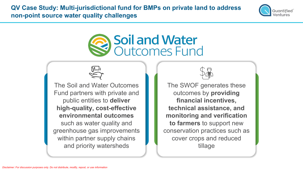**QV Case Study: Multi-jurisdictional fund for BMPs on private land to address non-point source water quality challenges** 



## **Soil and Water** Outcomes Fund



The Soil and Water Outcomes Fund partners with private and public entities to **deliver high-quality, cost-effective environmental outcomes** such as water quality and greenhouse gas improvements within partner supply chains and priority watersheds



The SWOF generates these outcomes by **providing financial incentives, technical assistance, and monitoring and verification to farmers** to support new conservation practices such as cover crops and reduced tillage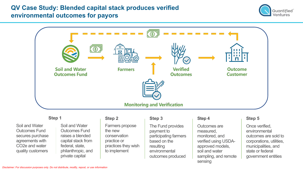## **QV Case Study: Blended capital stack produces verified environmental outcomes for payors**





#### **Step 1**

Soil and Water Outcomes Fund secures purchase agreements with CO2e and water quality customers

#### Soil and Water Outcomes Fund raises a blended capital stack from federal, state, philanthropic, and private capital

#### **Step 2**

Farmers propose the new conservation practice or practices they wish to implement

### **Step 3**

The Fund provides payment to participating farmers based on the resulting environmental outcomes produced

#### **Step 4**

Outcomes are measured, monitored, and verified using USDAapproved models, soil and water sampling, and remote sensing

#### **Step 5**

Once verified, environmental outcomes are sold to corporations, utilities, municipalities, and state or federal government entities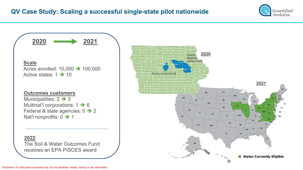

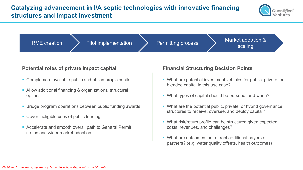## **Catalyzing advancement in I/A septic technologies with innovative financing structures and impact investment**





#### **Potential roles of private impact capital Financial Structuring Decision Points**

- Complement available public and philanthropic capital
- Allow additional financing & organizational structural options
- Bridge program operations between public funding awards
- Cover ineligible uses of public funding
- Accelerate and smooth overall path to General Permit status and wider market adoption

- What are potential investment vehicles for public, private, or blended capital in this use case?
- What types of capital should be pursued, and when?
- What are the potential public, private, or hybrid governance structures to receive, oversee, and deploy capital?
- What risk/return profile can be structured given expected costs, revenues, and challenges?
- What are outcomes that attract additional payors or partners? (e.g. water quality offsets, health outcomes)